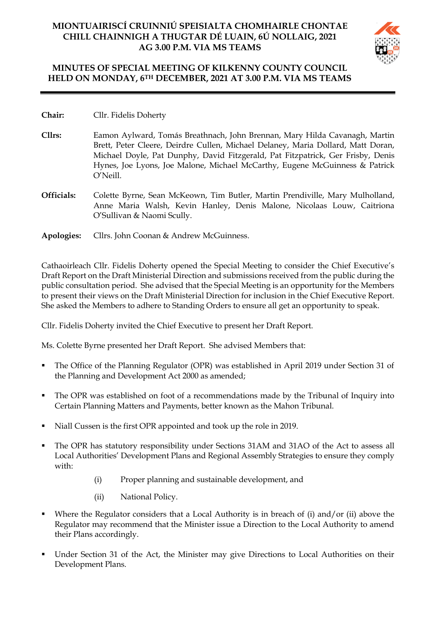# **MIONTUAIRISCÍ CRUINNIÚ SPEISIALTA CHOMHAIRLE CHONTAE CHILL CHAINNIGH A THUGTAR DÉ LUAIN, 6Ú NOLLAIG, 2021 AG 3.00 P.M. VIA MS TEAMS**



## **MINUTES OF SPECIAL MEETING OF KILKENNY COUNTY COUNCIL HELD ON MONDAY, 6TH DECEMBER, 2021 AT 3.00 P.M. VIA MS TEAMS**

- **Chair:** Cllr. Fidelis Doherty
- **Cllrs:** Eamon Aylward, Tomás Breathnach, John Brennan, Mary Hilda Cavanagh, Martin Brett, Peter Cleere, Deirdre Cullen, Michael Delaney, Maria Dollard, Matt Doran, Michael Doyle, Pat Dunphy, David Fitzgerald, Pat Fitzpatrick, Ger Frisby, Denis Hynes, Joe Lyons, Joe Malone, Michael McCarthy, Eugene McGuinness & Patrick O'Neill.
- **Officials:** Colette Byrne, Sean McKeown, Tim Butler, Martin Prendiville, Mary Mulholland, Anne Maria Walsh, Kevin Hanley, Denis Malone, Nicolaas Louw, Caitriona O'Sullivan & Naomi Scully.
- **Apologies:** Cllrs. John Coonan & Andrew McGuinness.

Cathaoirleach Cllr. Fidelis Doherty opened the Special Meeting to consider the Chief Executive's Draft Report on the Draft Ministerial Direction and submissions received from the public during the public consultation period. She advised that the Special Meeting is an opportunity for the Members to present their views on the Draft Ministerial Direction for inclusion in the Chief Executive Report. She asked the Members to adhere to Standing Orders to ensure all get an opportunity to speak.

Cllr. Fidelis Doherty invited the Chief Executive to present her Draft Report.

Ms. Colette Byrne presented her Draft Report. She advised Members that:

- The Office of the Planning Regulator (OPR) was established in April 2019 under Section 31 of the Planning and Development Act 2000 as amended;
- The OPR was established on foot of a recommendations made by the Tribunal of Inquiry into Certain Planning Matters and Payments, better known as the Mahon Tribunal.
- Niall Cussen is the first OPR appointed and took up the role in 2019.
- The OPR has statutory responsibility under Sections 31AM and 31AO of the Act to assess all Local Authorities' Development Plans and Regional Assembly Strategies to ensure they comply with:
	- (i) Proper planning and sustainable development, and
	- (ii) National Policy.
- Where the Regulator considers that a Local Authority is in breach of (i) and/or (ii) above the Regulator may recommend that the Minister issue a Direction to the Local Authority to amend their Plans accordingly.
- Under Section 31 of the Act, the Minister may give Directions to Local Authorities on their Development Plans.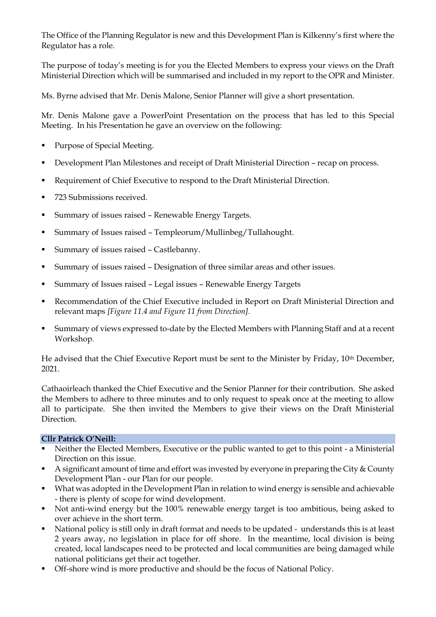The Office of the Planning Regulator is new and this Development Plan is Kilkenny's first where the Regulator has a role.

The purpose of today's meeting is for you the Elected Members to express your views on the Draft Ministerial Direction which will be summarised and included in my report to the OPR and Minister.

Ms. Byrne advised that Mr. Denis Malone, Senior Planner will give a short presentation.

Mr. Denis Malone gave a PowerPoint Presentation on the process that has led to this Special Meeting. In his Presentation he gave an overview on the following:

- Purpose of Special Meeting.
- Development Plan Milestones and receipt of Draft Ministerial Direction recap on process.
- Requirement of Chief Executive to respond to the Draft Ministerial Direction.
- 723 Submissions received.
- Summary of issues raised Renewable Energy Targets.
- Summary of Issues raised Templeorum/Mullinbeg/Tullahought.
- Summary of issues raised Castlebanny.
- Summary of issues raised Designation of three similar areas and other issues.
- Summary of Issues raised Legal issues Renewable Energy Targets
- Recommendation of the Chief Executive included in Report on Draft Ministerial Direction and relevant maps *[Figure 11.4 and Figure 11 from Direction].*
- Summary of views expressed to-date by the Elected Members with Planning Staff and at a recent Workshop.

He advised that the Chief Executive Report must be sent to the Minister by Friday, 10th December, 2021.

Cathaoirleach thanked the Chief Executive and the Senior Planner for their contribution. She asked the Members to adhere to three minutes and to only request to speak once at the meeting to allow all to participate. She then invited the Members to give their views on the Draft Ministerial Direction.

## **Cllr Patrick O'Neill:**

- Neither the Elected Members, Executive or the public wanted to get to this point a Ministerial Direction on this issue.
- A significant amount of time and effort was invested by everyone in preparing the City & County Development Plan - our Plan for our people.
- What was adopted in the Development Plan in relation to wind energy is sensible and achievable - there is plenty of scope for wind development.
- Not anti-wind energy but the 100% renewable energy target is too ambitious, being asked to over achieve in the short term.
- National policy is still only in draft format and needs to be updated understands this is at least 2 years away, no legislation in place for off shore. In the meantime, local division is being created, local landscapes need to be protected and local communities are being damaged while national politicians get their act together.
- Off-shore wind is more productive and should be the focus of National Policy.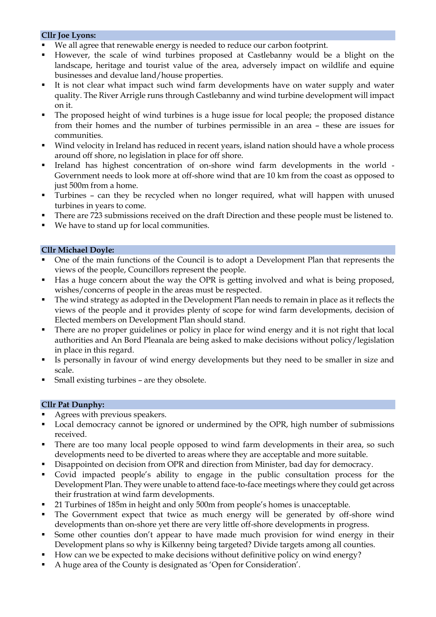### **Cllr Joe Lyons:**

- We all agree that renewable energy is needed to reduce our carbon footprint.
- However, the scale of wind turbines proposed at Castlebanny would be a blight on the landscape, heritage and tourist value of the area, adversely impact on wildlife and equine businesses and devalue land/house properties.
- It is not clear what impact such wind farm developments have on water supply and water quality. The River Arrigle runs through Castlebanny and wind turbine development will impact on it.
- The proposed height of wind turbines is a huge issue for local people; the proposed distance from their homes and the number of turbines permissible in an area – these are issues for communities.
- Wind velocity in Ireland has reduced in recent years, island nation should have a whole process around off shore, no legislation in place for off shore.
- Ireland has highest concentration of on-shore wind farm developments in the world Government needs to look more at off-shore wind that are 10 km from the coast as opposed to just 500m from a home.
- Turbines can they be recycled when no longer required, what will happen with unused turbines in years to come.
- **•** There are 723 submissions received on the draft Direction and these people must be listened to.
- We have to stand up for local communities.

### **Cllr Michael Doyle:**

- One of the main functions of the Council is to adopt a Development Plan that represents the views of the people, Councillors represent the people.
- Has a huge concern about the way the OPR is getting involved and what is being proposed, wishes/concerns of people in the areas must be respected.
- The wind strategy as adopted in the Development Plan needs to remain in place as it reflects the views of the people and it provides plenty of scope for wind farm developments, decision of Elected members on Development Plan should stand.
- There are no proper guidelines or policy in place for wind energy and it is not right that local authorities and An Bord Pleanala are being asked to make decisions without policy/legislation in place in this regard.
- Is personally in favour of wind energy developments but they need to be smaller in size and scale.
- Small existing turbines are they obsolete.

### **Cllr Pat Dunphy:**

- Agrees with previous speakers.
- Local democracy cannot be ignored or undermined by the OPR, high number of submissions received.
- There are too many local people opposed to wind farm developments in their area, so such developments need to be diverted to areas where they are acceptable and more suitable.
- Disappointed on decision from OPR and direction from Minister, bad day for democracy.
- Covid impacted people's ability to engage in the public consultation process for the Development Plan. They were unable to attend face-to-face meetings where they could get across their frustration at wind farm developments.
- 21 Turbines of 185m in height and only 500m from people's homes is unacceptable.
- The Government expect that twice as much energy will be generated by off-shore wind developments than on-shore yet there are very little off-shore developments in progress.
- Some other counties don't appear to have made much provision for wind energy in their Development plans so why is Kilkenny being targeted? Divide targets among all counties.
- How can we be expected to make decisions without definitive policy on wind energy?
- A huge area of the County is designated as 'Open for Consideration'.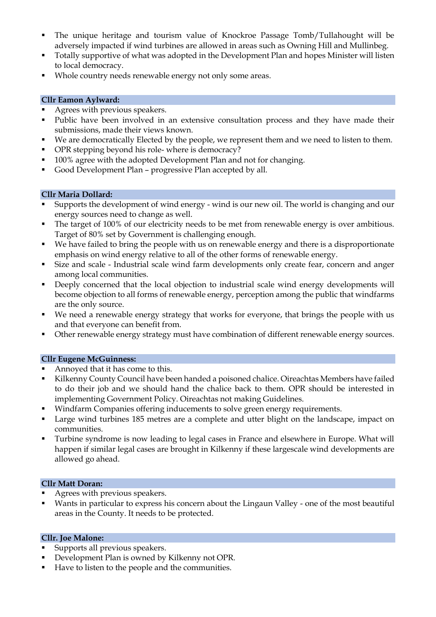- The unique heritage and tourism value of Knockroe Passage Tomb/Tullahought will be adversely impacted if wind turbines are allowed in areas such as Owning Hill and Mullinbeg.
- Totally supportive of what was adopted in the Development Plan and hopes Minister will listen to local democracy.
- Whole country needs renewable energy not only some areas.

## **Cllr Eamon Aylward:**

- Agrees with previous speakers.
- Public have been involved in an extensive consultation process and they have made their submissions, made their views known.
- We are democratically Elected by the people, we represent them and we need to listen to them.
- OPR stepping beyond his role- where is democracy?
- 100% agree with the adopted Development Plan and not for changing.
- Good Development Plan progressive Plan accepted by all.

### **Cllr Maria Dollard:**

- Supports the development of wind energy wind is our new oil. The world is changing and our energy sources need to change as well.
- The target of 100% of our electricity needs to be met from renewable energy is over ambitious. Target of 80% set by Government is challenging enough.
- We have failed to bring the people with us on renewable energy and there is a disproportionate emphasis on wind energy relative to all of the other forms of renewable energy.
- Size and scale Industrial scale wind farm developments only create fear, concern and anger among local communities.
- **•** Deeply concerned that the local objection to industrial scale wind energy developments will become objection to all forms of renewable energy, perception among the public that windfarms are the only source.
- We need a renewable energy strategy that works for everyone, that brings the people with us and that everyone can benefit from.
- Other renewable energy strategy must have combination of different renewable energy sources.

### **Cllr Eugene McGuinness:**

- Annoyed that it has come to this.
- Kilkenny County Council have been handed a poisoned chalice. Oireachtas Members have failed to do their job and we should hand the chalice back to them. OPR should be interested in implementing Government Policy. Oireachtas not making Guidelines.
- Windfarm Companies offering inducements to solve green energy requirements.
- Large wind turbines 185 metres are a complete and utter blight on the landscape, impact on communities.
- Turbine syndrome is now leading to legal cases in France and elsewhere in Europe. What will happen if similar legal cases are brought in Kilkenny if these largescale wind developments are allowed go ahead.

### **Cllr Matt Doran:**

- Agrees with previous speakers.
- Wants in particular to express his concern about the Lingaun Valley one of the most beautiful areas in the County. It needs to be protected.

### **Cllr. Joe Malone:**

- Supports all previous speakers.
- Development Plan is owned by Kilkenny not OPR.
- Have to listen to the people and the communities.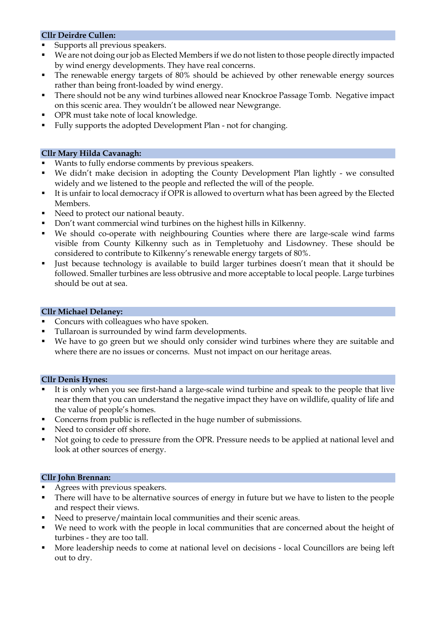## **Cllr Deirdre Cullen:**

- Supports all previous speakers.
- We are not doing our job as Elected Members if we do not listen to those people directly impacted by wind energy developments. They have real concerns.
- The renewable energy targets of 80% should be achieved by other renewable energy sources rather than being front-loaded by wind energy.
- There should not be any wind turbines allowed near Knockroe Passage Tomb. Negative impact on this scenic area. They wouldn't be allowed near Newgrange.
- OPR must take note of local knowledge.
- Fully supports the adopted Development Plan not for changing.

### **Cllr Mary Hilda Cavanagh:**

- Wants to fully endorse comments by previous speakers.
- We didn't make decision in adopting the County Development Plan lightly we consulted widely and we listened to the people and reflected the will of the people.
- It is unfair to local democracy if OPR is allowed to overturn what has been agreed by the Elected Members.
- Need to protect our national beauty.
- Don't want commercial wind turbines on the highest hills in Kilkenny.
- We should co-operate with neighbouring Counties where there are large-scale wind farms visible from County Kilkenny such as in Templetuohy and Lisdowney. These should be considered to contribute to Kilkenny's renewable energy targets of 80%.
- Just because technology is available to build larger turbines doesn't mean that it should be followed. Smaller turbines are less obtrusive and more acceptable to local people. Large turbines should be out at sea.

### **Cllr Michael Delaney:**

- Concurs with colleagues who have spoken.
- Tullaroan is surrounded by wind farm developments.
- We have to go green but we should only consider wind turbines where they are suitable and where there are no issues or concerns. Must not impact on our heritage areas.

#### **Cllr Denis Hynes:**

- It is only when you see first-hand a large-scale wind turbine and speak to the people that live near them that you can understand the negative impact they have on wildlife, quality of life and the value of people's homes.
- Concerns from public is reflected in the huge number of submissions.
- Need to consider off shore.
- Not going to cede to pressure from the OPR. Pressure needs to be applied at national level and look at other sources of energy.

### **Cllr John Brennan:**

- Agrees with previous speakers.
- There will have to be alternative sources of energy in future but we have to listen to the people and respect their views.
- Need to preserve/maintain local communities and their scenic areas.
- We need to work with the people in local communities that are concerned about the height of turbines - they are too tall.
- More leadership needs to come at national level on decisions local Councillors are being left out to dry.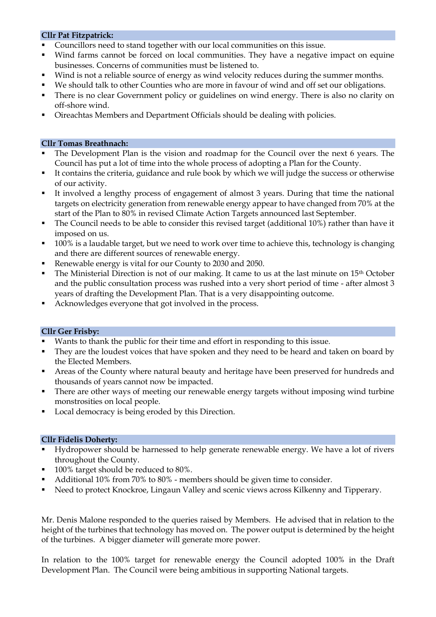### **Cllr Pat Fitzpatrick:**

- Councillors need to stand together with our local communities on this issue.
- Wind farms cannot be forced on local communities. They have a negative impact on equine businesses. Concerns of communities must be listened to.
- Wind is not a reliable source of energy as wind velocity reduces during the summer months.
- We should talk to other Counties who are more in favour of wind and off set our obligations.
- **•** There is no clear Government policy or guidelines on wind energy. There is also no clarity on off-shore wind.
- Oireachtas Members and Department Officials should be dealing with policies.

#### **Cllr Tomas Breathnach:**

- The Development Plan is the vision and roadmap for the Council over the next 6 years. The Council has put a lot of time into the whole process of adopting a Plan for the County.
- It contains the criteria, guidance and rule book by which we will judge the success or otherwise of our activity.
- It involved a lengthy process of engagement of almost 3 years. During that time the national targets on electricity generation from renewable energy appear to have changed from 70% at the start of the Plan to 80% in revised Climate Action Targets announced last September.
- The Council needs to be able to consider this revised target (additional 10%) rather than have it imposed on us.
- 100% is a laudable target, but we need to work over time to achieve this, technology is changing and there are different sources of renewable energy.
- Renewable energy is vital for our County to 2030 and 2050.
- The Ministerial Direction is not of our making. It came to us at the last minute on 15<sup>th</sup> October and the public consultation process was rushed into a very short period of time - after almost 3 years of drafting the Development Plan. That is a very disappointing outcome.
- Acknowledges everyone that got involved in the process.

#### **Cllr Ger Frisby:**

- Wants to thank the public for their time and effort in responding to this issue.
- **•** They are the loudest voices that have spoken and they need to be heard and taken on board by the Elected Members.
- Areas of the County where natural beauty and heritage have been preserved for hundreds and thousands of years cannot now be impacted.
- There are other ways of meeting our renewable energy targets without imposing wind turbine monstrosities on local people.
- Local democracy is being eroded by this Direction.

#### **Cllr Fidelis Doherty:**

- Hydropower should be harnessed to help generate renewable energy. We have a lot of rivers throughout the County.
- 100% target should be reduced to 80%.
- Additional 10% from 70% to 80% members should be given time to consider.
- Need to protect Knockroe, Lingaun Valley and scenic views across Kilkenny and Tipperary.

Mr. Denis Malone responded to the queries raised by Members. He advised that in relation to the height of the turbines that technology has moved on. The power output is determined by the height of the turbines. A bigger diameter will generate more power.

In relation to the 100% target for renewable energy the Council adopted 100% in the Draft Development Plan. The Council were being ambitious in supporting National targets.